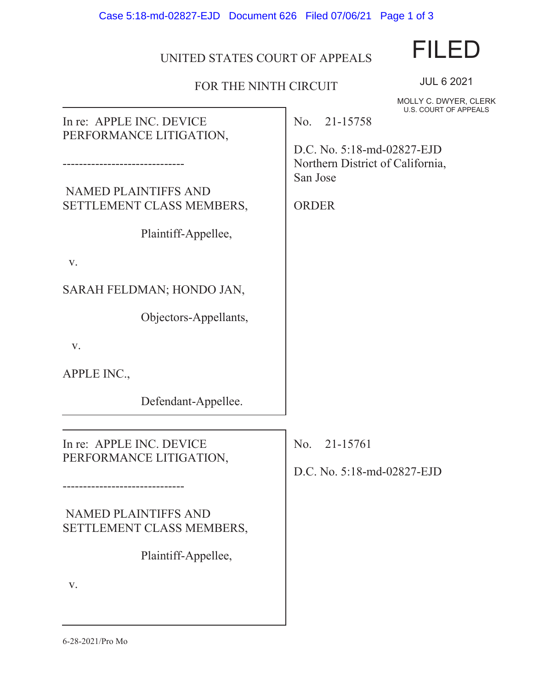Case 5:18-md-02827-EJD Document 626 Filed 07/06/21 Page 1 of 3

## UNITED STATES COURT OF APPEALS

## FOR THE NINTH CIRCUIT

MOLLY C. DWYER, CLERK **ALS** 

JUL 6 2021

FILED

| In re: APPLE INC. DEVICE                                                                                   | U.S. COURT OF APPEA<br>No. 21-15758                                                        |
|------------------------------------------------------------------------------------------------------------|--------------------------------------------------------------------------------------------|
| PERFORMANCE LITIGATION,<br><b>NAMED PLAINTIFFS AND</b><br>SETTLEMENT CLASS MEMBERS,<br>Plaintiff-Appellee, | D.C. No. 5:18-md-02827-EJD<br>Northern District of California,<br>San Jose<br><b>ORDER</b> |
| V.                                                                                                         |                                                                                            |
| SARAH FELDMAN; HONDO JAN,                                                                                  |                                                                                            |
| Objectors-Appellants,                                                                                      |                                                                                            |
| V.                                                                                                         |                                                                                            |
| APPLE INC.,                                                                                                |                                                                                            |
| Defendant-Appellee.                                                                                        |                                                                                            |
| In re: APPLE INC. DEVICE                                                                                   | No.<br>21-15761                                                                            |
| PERFORMANCE LITIGATION,                                                                                    | D.C. No. 5:18-md-02827-EJD                                                                 |
| <b>NAMED PLAINTIFFS AND</b><br>SETTLEMENT CLASS MEMBERS,<br>Plaintiff-Appellee,                            |                                                                                            |
| V.                                                                                                         |                                                                                            |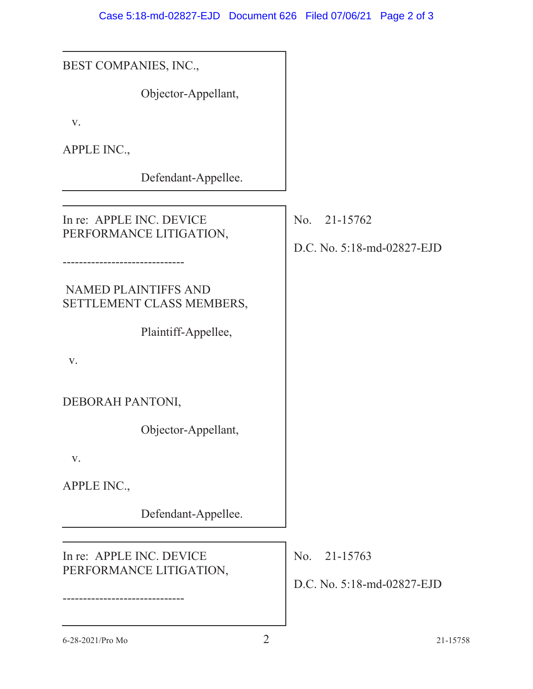| BEST COMPANIES, INC.,                                    |                                            |
|----------------------------------------------------------|--------------------------------------------|
| Objector-Appellant,                                      |                                            |
| V.                                                       |                                            |
| APPLE INC.,                                              |                                            |
| Defendant-Appellee.                                      |                                            |
| In re: APPLE INC. DEVICE<br>PERFORMANCE LITIGATION,      | No. 21-15762<br>D.C. No. 5:18-md-02827-EJD |
| <b>NAMED PLAINTIFFS AND</b><br>SETTLEMENT CLASS MEMBERS, |                                            |
| Plaintiff-Appellee,                                      |                                            |
| V.                                                       |                                            |
| DEBORAH PANTONI,                                         |                                            |
| Objector-Appellant,                                      |                                            |
| V.                                                       |                                            |
| APPLE INC.,                                              |                                            |
| Defendant-Appellee.                                      |                                            |
| In re: APPLE INC. DEVICE<br>PERFORMANCE LITIGATION,      | No. 21-15763<br>D.C. No. 5:18-md-02827-EJD |